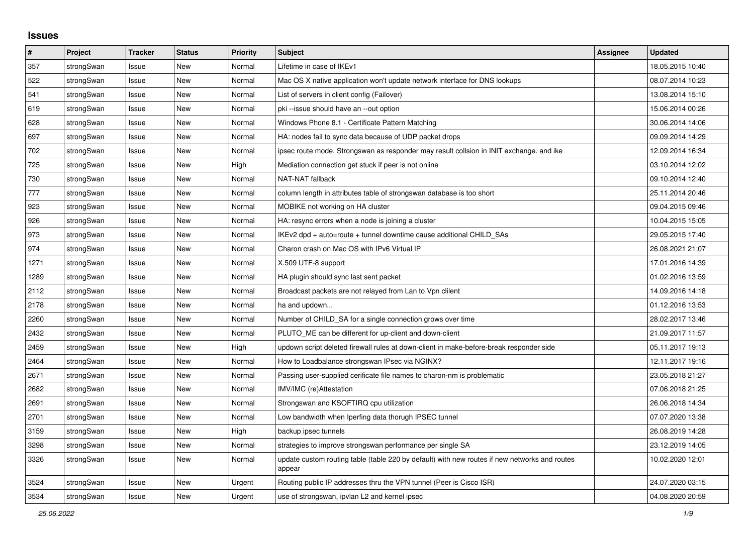## **Issues**

| #    | Project    | <b>Tracker</b> | <b>Status</b> | <b>Priority</b> | <b>Subject</b>                                                                                          | <b>Assignee</b> | <b>Updated</b>   |
|------|------------|----------------|---------------|-----------------|---------------------------------------------------------------------------------------------------------|-----------------|------------------|
| 357  | strongSwan | Issue          | <b>New</b>    | Normal          | Lifetime in case of IKEv1                                                                               |                 | 18.05.2015 10:40 |
| 522  | strongSwan | Issue          | New           | Normal          | Mac OS X native application won't update network interface for DNS lookups                              |                 | 08.07.2014 10:23 |
| 541  | strongSwan | Issue          | New           | Normal          | List of servers in client config (Failover)                                                             |                 | 13.08.2014 15:10 |
| 619  | strongSwan | Issue          | New           | Normal          | pki --issue should have an --out option                                                                 |                 | 15.06.2014 00:26 |
| 628  | strongSwan | Issue          | <b>New</b>    | Normal          | Windows Phone 8.1 - Certificate Pattern Matching                                                        |                 | 30.06.2014 14:06 |
| 697  | strongSwan | Issue          | <b>New</b>    | Normal          | HA: nodes fail to sync data because of UDP packet drops                                                 |                 | 09.09.2014 14:29 |
| 702  | strongSwan | Issue          | New           | Normal          | ipsec route mode, Strongswan as responder may result collsion in INIT exchange. and ike                 |                 | 12.09.2014 16:34 |
| 725  | strongSwan | Issue          | New           | High            | Mediation connection get stuck if peer is not online                                                    |                 | 03.10.2014 12:02 |
| 730  | strongSwan | Issue          | New           | Normal          | NAT-NAT fallback                                                                                        |                 | 09.10.2014 12:40 |
| 777  | strongSwan | Issue          | New           | Normal          | column length in attributes table of strongswan database is too short                                   |                 | 25.11.2014 20:46 |
| 923  | strongSwan | Issue          | <b>New</b>    | Normal          | MOBIKE not working on HA cluster                                                                        |                 | 09.04.2015 09:46 |
| 926  | strongSwan | Issue          | <b>New</b>    | Normal          | HA: resync errors when a node is joining a cluster                                                      |                 | 10.04.2015 15:05 |
| 973  | strongSwan | Issue          | New           | Normal          | IKEv2 dpd + auto=route + tunnel downtime cause additional CHILD SAs                                     |                 | 29.05.2015 17:40 |
| 974  | strongSwan | Issue          | <b>New</b>    | Normal          | Charon crash on Mac OS with IPv6 Virtual IP                                                             |                 | 26.08.2021 21:07 |
| 1271 | strongSwan | Issue          | <b>New</b>    | Normal          | X.509 UTF-8 support                                                                                     |                 | 17.01.2016 14:39 |
| 1289 | strongSwan | Issue          | <b>New</b>    | Normal          | HA plugin should sync last sent packet                                                                  |                 | 01.02.2016 13:59 |
| 2112 | strongSwan | Issue          | New           | Normal          | Broadcast packets are not relayed from Lan to Vpn clilent                                               |                 | 14.09.2016 14:18 |
| 2178 | strongSwan | Issue          | New           | Normal          | ha and updown                                                                                           |                 | 01.12.2016 13:53 |
| 2260 | strongSwan | Issue          | New           | Normal          | Number of CHILD_SA for a single connection grows over time                                              |                 | 28.02.2017 13:46 |
| 2432 | strongSwan | Issue          | New           | Normal          | PLUTO ME can be different for up-client and down-client                                                 |                 | 21.09.2017 11:57 |
| 2459 | strongSwan | Issue          | New           | High            | updown script deleted firewall rules at down-client in make-before-break responder side                 |                 | 05.11.2017 19:13 |
| 2464 | strongSwan | Issue          | <b>New</b>    | Normal          | How to Loadbalance strongswan IPsec via NGINX?                                                          |                 | 12.11.2017 19:16 |
| 2671 | strongSwan | Issue          | New           | Normal          | Passing user-supplied cerificate file names to charon-nm is problematic                                 |                 | 23.05.2018 21:27 |
| 2682 | strongSwan | Issue          | New           | Normal          | IMV/IMC (re)Attestation                                                                                 |                 | 07.06.2018 21:25 |
| 2691 | strongSwan | Issue          | <b>New</b>    | Normal          | Strongswan and KSOFTIRQ cpu utilization                                                                 |                 | 26.06.2018 14:34 |
| 2701 | strongSwan | Issue          | <b>New</b>    | Normal          | Low bandwidth when Iperfing data thorugh IPSEC tunnel                                                   |                 | 07.07.2020 13:38 |
| 3159 | strongSwan | Issue          | <b>New</b>    | High            | backup ipsec tunnels                                                                                    |                 | 26.08.2019 14:28 |
| 3298 | strongSwan | Issue          | New           | Normal          | strategies to improve strongswan performance per single SA                                              |                 | 23.12.2019 14:05 |
| 3326 | strongSwan | Issue          | New           | Normal          | update custom routing table (table 220 by default) with new routes if new networks and routes<br>appear |                 | 10.02.2020 12:01 |
| 3524 | strongSwan | Issue          | New           | Urgent          | Routing public IP addresses thru the VPN tunnel (Peer is Cisco ISR)                                     |                 | 24.07.2020 03:15 |
| 3534 | strongSwan | Issue          | New           | Urgent          | use of strongswan, ipvlan L2 and kernel ipsec                                                           |                 | 04.08.2020 20:59 |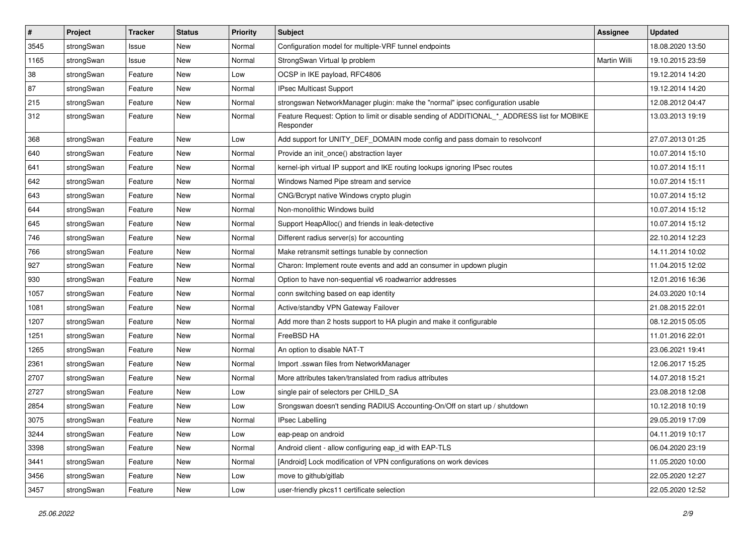| $\vert$ # | Project    | <b>Tracker</b> | <b>Status</b> | <b>Priority</b> | Subject                                                                                                  | <b>Assignee</b> | <b>Updated</b>   |
|-----------|------------|----------------|---------------|-----------------|----------------------------------------------------------------------------------------------------------|-----------------|------------------|
| 3545      | strongSwan | Issue          | New           | Normal          | Configuration model for multiple-VRF tunnel endpoints                                                    |                 | 18.08.2020 13:50 |
| 1165      | strongSwan | Issue          | <b>New</b>    | Normal          | StrongSwan Virtual Ip problem                                                                            | Martin Willi    | 19.10.2015 23:59 |
| 38        | strongSwan | Feature        | New           | Low             | OCSP in IKE payload, RFC4806                                                                             |                 | 19.12.2014 14:20 |
| 87        | strongSwan | Feature        | New           | Normal          | IPsec Multicast Support                                                                                  |                 | 19.12.2014 14:20 |
| 215       | strongSwan | Feature        | <b>New</b>    | Normal          | strongswan NetworkManager plugin: make the "normal" ipsec configuration usable                           |                 | 12.08.2012 04:47 |
| 312       | strongSwan | Feature        | New           | Normal          | Feature Request: Option to limit or disable sending of ADDITIONAL_*_ADDRESS list for MOBIKE<br>Responder |                 | 13.03.2013 19:19 |
| 368       | strongSwan | Feature        | <b>New</b>    | Low             | Add support for UNITY_DEF_DOMAIN mode config and pass domain to resolvconf                               |                 | 27.07.2013 01:25 |
| 640       | strongSwan | Feature        | <b>New</b>    | Normal          | Provide an init_once() abstraction layer                                                                 |                 | 10.07.2014 15:10 |
| 641       | strongSwan | Feature        | New           | Normal          | kernel-iph virtual IP support and IKE routing lookups ignoring IPsec routes                              |                 | 10.07.2014 15:11 |
| 642       | strongSwan | Feature        | New           | Normal          | Windows Named Pipe stream and service                                                                    |                 | 10.07.2014 15:11 |
| 643       | strongSwan | Feature        | <b>New</b>    | Normal          | CNG/Bcrypt native Windows crypto plugin                                                                  |                 | 10.07.2014 15:12 |
| 644       | strongSwan | Feature        | <b>New</b>    | Normal          | Non-monolithic Windows build                                                                             |                 | 10.07.2014 15:12 |
| 645       | strongSwan | Feature        | New           | Normal          | Support HeapAlloc() and friends in leak-detective                                                        |                 | 10.07.2014 15:12 |
| 746       | strongSwan | Feature        | New           | Normal          | Different radius server(s) for accounting                                                                |                 | 22.10.2014 12:23 |
| 766       | strongSwan | Feature        | New           | Normal          | Make retransmit settings tunable by connection                                                           |                 | 14.11.2014 10:02 |
| 927       | strongSwan | Feature        | <b>New</b>    | Normal          | Charon: Implement route events and add an consumer in updown plugin                                      |                 | 11.04.2015 12:02 |
| 930       | strongSwan | Feature        | New           | Normal          | Option to have non-sequential v6 roadwarrior addresses                                                   |                 | 12.01.2016 16:36 |
| 1057      | strongSwan | Feature        | New           | Normal          | conn switching based on eap identity                                                                     |                 | 24.03.2020 10:14 |
| 1081      | strongSwan | Feature        | New           | Normal          | Active/standby VPN Gateway Failover                                                                      |                 | 21.08.2015 22:01 |
| 1207      | strongSwan | Feature        | New           | Normal          | Add more than 2 hosts support to HA plugin and make it configurable                                      |                 | 08.12.2015 05:05 |
| 1251      | strongSwan | Feature        | <b>New</b>    | Normal          | FreeBSD HA                                                                                               |                 | 11.01.2016 22:01 |
| 1265      | strongSwan | Feature        | New           | Normal          | An option to disable NAT-T                                                                               |                 | 23.06.2021 19:41 |
| 2361      | strongSwan | Feature        | New           | Normal          | Import .sswan files from NetworkManager                                                                  |                 | 12.06.2017 15:25 |
| 2707      | strongSwan | Feature        | New           | Normal          | More attributes taken/translated from radius attributes                                                  |                 | 14.07.2018 15:21 |
| 2727      | strongSwan | Feature        | New           | Low             | single pair of selectors per CHILD_SA                                                                    |                 | 23.08.2018 12:08 |
| 2854      | strongSwan | Feature        | New           | Low             | Srongswan doesn't sending RADIUS Accounting-On/Off on start up / shutdown                                |                 | 10.12.2018 10:19 |
| 3075      | strongSwan | Feature        | New           | Normal          | <b>IPsec Labelling</b>                                                                                   |                 | 29.05.2019 17:09 |
| 3244      | strongSwan | Feature        | New           | Low             | eap-peap on android                                                                                      |                 | 04.11.2019 10:17 |
| 3398      | strongSwan | Feature        | New           | Normal          | Android client - allow configuring eap_id with EAP-TLS                                                   |                 | 06.04.2020 23:19 |
| 3441      | strongSwan | Feature        | New           | Normal          | [Android] Lock modification of VPN configurations on work devices                                        |                 | 11.05.2020 10:00 |
| 3456      | strongSwan | Feature        | New           | Low             | move to github/gitlab                                                                                    |                 | 22.05.2020 12:27 |
| 3457      | strongSwan | Feature        | New           | Low             | user-friendly pkcs11 certificate selection                                                               |                 | 22.05.2020 12:52 |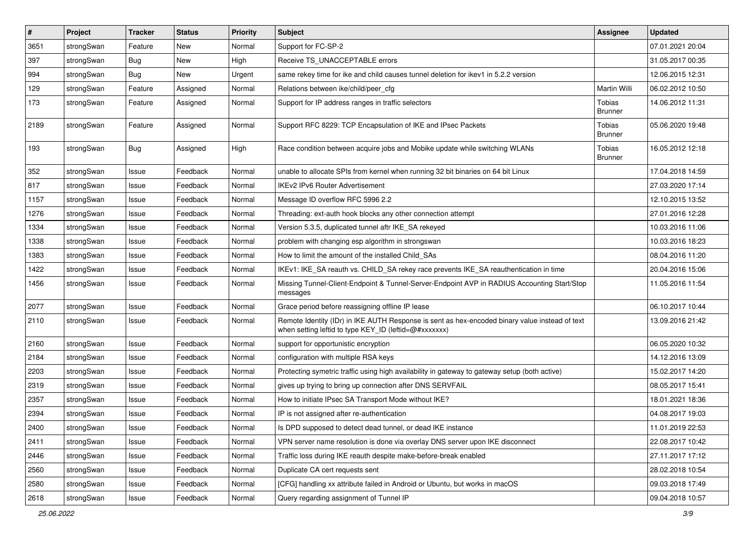| $\pmb{\#}$ | Project    | Tracker    | <b>Status</b> | Priority | Subject                                                                                                                                                 | Assignee                 | <b>Updated</b>   |
|------------|------------|------------|---------------|----------|---------------------------------------------------------------------------------------------------------------------------------------------------------|--------------------------|------------------|
| 3651       | strongSwan | Feature    | New           | Normal   | Support for FC-SP-2                                                                                                                                     |                          | 07.01.2021 20:04 |
| 397        | strongSwan | Bug        | <b>New</b>    | High     | Receive TS_UNACCEPTABLE errors                                                                                                                          |                          | 31.05.2017 00:35 |
| 994        | strongSwan | <b>Bug</b> | New           | Urgent   | same rekey time for ike and child causes tunnel deletion for ikev1 in 5.2.2 version                                                                     |                          | 12.06.2015 12:31 |
| 129        | strongSwan | Feature    | Assigned      | Normal   | Relations between ike/child/peer_cfg                                                                                                                    | <b>Martin Willi</b>      | 06.02.2012 10:50 |
| 173        | strongSwan | Feature    | Assigned      | Normal   | Support for IP address ranges in traffic selectors                                                                                                      | Tobias<br><b>Brunner</b> | 14.06.2012 11:31 |
| 2189       | strongSwan | Feature    | Assigned      | Normal   | Support RFC 8229: TCP Encapsulation of IKE and IPsec Packets                                                                                            | Tobias<br><b>Brunner</b> | 05.06.2020 19:48 |
| 193        | strongSwan | Bug        | Assigned      | High     | Race condition between acquire jobs and Mobike update while switching WLANs                                                                             | Tobias<br><b>Brunner</b> | 16.05.2012 12:18 |
| 352        | strongSwan | Issue      | Feedback      | Normal   | unable to allocate SPIs from kernel when running 32 bit binaries on 64 bit Linux                                                                        |                          | 17.04.2018 14:59 |
| 817        | strongSwan | Issue      | Feedback      | Normal   | <b>IKEv2 IPv6 Router Advertisement</b>                                                                                                                  |                          | 27.03.2020 17:14 |
| 1157       | strongSwan | Issue      | Feedback      | Normal   | Message ID overflow RFC 5996 2.2                                                                                                                        |                          | 12.10.2015 13:52 |
| 1276       | strongSwan | Issue      | Feedback      | Normal   | Threading: ext-auth hook blocks any other connection attempt                                                                                            |                          | 27.01.2016 12:28 |
| 1334       | strongSwan | Issue      | Feedback      | Normal   | Version 5.3.5, duplicated tunnel aftr IKE_SA rekeyed                                                                                                    |                          | 10.03.2016 11:06 |
| 1338       | strongSwan | Issue      | Feedback      | Normal   | problem with changing esp algorithm in strongswan                                                                                                       |                          | 10.03.2016 18:23 |
| 1383       | strongSwan | Issue      | Feedback      | Normal   | How to limit the amount of the installed Child SAs                                                                                                      |                          | 08.04.2016 11:20 |
| 1422       | strongSwan | Issue      | Feedback      | Normal   | IKEv1: IKE_SA reauth vs. CHILD_SA rekey race prevents IKE_SA reauthentication in time                                                                   |                          | 20.04.2016 15:06 |
| 1456       | strongSwan | Issue      | Feedback      | Normal   | Missing Tunnel-Client-Endpoint & Tunnel-Server-Endpoint AVP in RADIUS Accounting Start/Stop<br>messages                                                 |                          | 11.05.2016 11:54 |
| 2077       | strongSwan | Issue      | Feedback      | Normal   | Grace period before reassigning offline IP lease                                                                                                        |                          | 06.10.2017 10:44 |
| 2110       | strongSwan | Issue      | Feedback      | Normal   | Remote Identity (IDr) in IKE AUTH Response is sent as hex-encoded binary value instead of text<br>when setting leftid to type KEY_ID (leftid=@#xxxxxxx) |                          | 13.09.2016 21:42 |
| 2160       | strongSwan | Issue      | Feedback      | Normal   | support for opportunistic encryption                                                                                                                    |                          | 06.05.2020 10:32 |
| 2184       | strongSwan | Issue      | Feedback      | Normal   | configuration with multiple RSA keys                                                                                                                    |                          | 14.12.2016 13:09 |
| 2203       | strongSwan | Issue      | Feedback      | Normal   | Protecting symetric traffic using high availability in gateway to gateway setup (both active)                                                           |                          | 15.02.2017 14:20 |
| 2319       | strongSwan | Issue      | Feedback      | Normal   | gives up trying to bring up connection after DNS SERVFAIL                                                                                               |                          | 08.05.2017 15:41 |
| 2357       | strongSwan | Issue      | Feedback      | Normal   | How to initiate IPsec SA Transport Mode without IKE?                                                                                                    |                          | 18.01.2021 18:36 |
| 2394       | strongSwan | Issue      | Feedback      | Normal   | IP is not assigned after re-authentication                                                                                                              |                          | 04.08.2017 19:03 |
| 2400       | strongSwan | Issue      | Feedback      | Normal   | Is DPD supposed to detect dead tunnel, or dead IKE instance                                                                                             |                          | 11.01.2019 22:53 |
| 2411       | strongSwan | Issue      | Feedback      | Normal   | VPN server name resolution is done via overlay DNS server upon IKE disconnect                                                                           |                          | 22.08.2017 10:42 |
| 2446       | strongSwan | Issue      | Feedback      | Normal   | Traffic loss during IKE reauth despite make-before-break enabled                                                                                        |                          | 27.11.2017 17:12 |
| 2560       | strongSwan | Issue      | Feedback      | Normal   | Duplicate CA cert requests sent                                                                                                                         |                          | 28.02.2018 10:54 |
| 2580       | strongSwan | Issue      | Feedback      | Normal   | [CFG] handling xx attribute failed in Android or Ubuntu, but works in macOS                                                                             |                          | 09.03.2018 17:49 |
| 2618       | strongSwan | Issue      | Feedback      | Normal   | Query regarding assignment of Tunnel IP                                                                                                                 |                          | 09.04.2018 10:57 |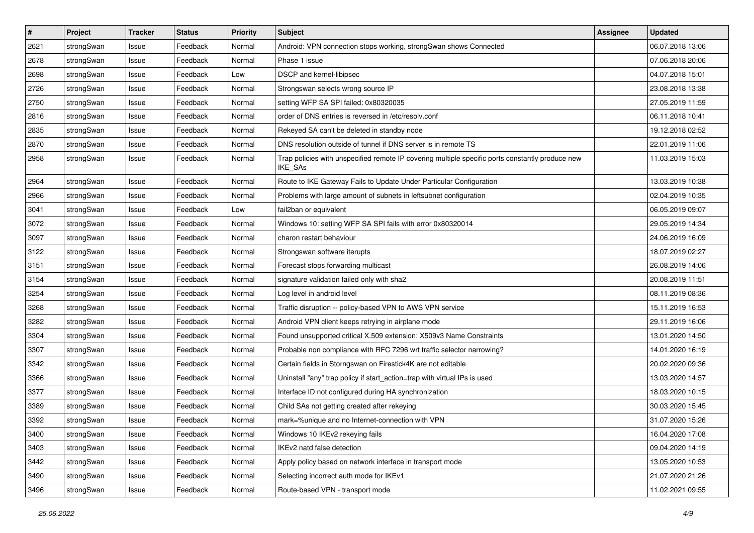| $\pmb{\#}$ | Project    | <b>Tracker</b> | <b>Status</b> | <b>Priority</b> | <b>Subject</b>                                                                                              | Assignee | <b>Updated</b>   |
|------------|------------|----------------|---------------|-----------------|-------------------------------------------------------------------------------------------------------------|----------|------------------|
| 2621       | strongSwan | Issue          | Feedback      | Normal          | Android: VPN connection stops working, strongSwan shows Connected                                           |          | 06.07.2018 13:06 |
| 2678       | strongSwan | Issue          | Feedback      | Normal          | Phase 1 issue                                                                                               |          | 07.06.2018 20:06 |
| 2698       | strongSwan | Issue          | Feedback      | Low             | DSCP and kernel-libipsec                                                                                    |          | 04.07.2018 15:01 |
| 2726       | strongSwan | Issue          | Feedback      | Normal          | Strongswan selects wrong source IP                                                                          |          | 23.08.2018 13:38 |
| 2750       | strongSwan | Issue          | Feedback      | Normal          | setting WFP SA SPI failed: 0x80320035                                                                       |          | 27.05.2019 11:59 |
| 2816       | strongSwan | Issue          | Feedback      | Normal          | order of DNS entries is reversed in /etc/resolv.conf                                                        |          | 06.11.2018 10:41 |
| 2835       | strongSwan | Issue          | Feedback      | Normal          | Rekeyed SA can't be deleted in standby node                                                                 |          | 19.12.2018 02:52 |
| 2870       | strongSwan | Issue          | Feedback      | Normal          | DNS resolution outside of tunnel if DNS server is in remote TS                                              |          | 22.01.2019 11:06 |
| 2958       | strongSwan | Issue          | Feedback      | Normal          | Trap policies with unspecified remote IP covering multiple specific ports constantly produce new<br>IKE_SAs |          | 11.03.2019 15:03 |
| 2964       | strongSwan | Issue          | Feedback      | Normal          | Route to IKE Gateway Fails to Update Under Particular Configuration                                         |          | 13.03.2019 10:38 |
| 2966       | strongSwan | Issue          | Feedback      | Normal          | Problems with large amount of subnets in leftsubnet configuration                                           |          | 02.04.2019 10:35 |
| 3041       | strongSwan | Issue          | Feedback      | Low             | fail2ban or equivalent                                                                                      |          | 06.05.2019 09:07 |
| 3072       | strongSwan | Issue          | Feedback      | Normal          | Windows 10: setting WFP SA SPI fails with error 0x80320014                                                  |          | 29.05.2019 14:34 |
| 3097       | strongSwan | Issue          | Feedback      | Normal          | charon restart behaviour                                                                                    |          | 24.06.2019 16:09 |
| 3122       | strongSwan | Issue          | Feedback      | Normal          | Strongswan software iterupts                                                                                |          | 18.07.2019 02:27 |
| 3151       | strongSwan | Issue          | Feedback      | Normal          | Forecast stops forwarding multicast                                                                         |          | 26.08.2019 14:06 |
| 3154       | strongSwan | Issue          | Feedback      | Normal          | signature validation failed only with sha2                                                                  |          | 20.08.2019 11:51 |
| 3254       | strongSwan | Issue          | Feedback      | Normal          | Log level in android level                                                                                  |          | 08.11.2019 08:36 |
| 3268       | strongSwan | Issue          | Feedback      | Normal          | Traffic disruption -- policy-based VPN to AWS VPN service                                                   |          | 15.11.2019 16:53 |
| 3282       | strongSwan | Issue          | Feedback      | Normal          | Android VPN client keeps retrying in airplane mode                                                          |          | 29.11.2019 16:06 |
| 3304       | strongSwan | Issue          | Feedback      | Normal          | Found unsupported critical X.509 extension: X509v3 Name Constraints                                         |          | 13.01.2020 14:50 |
| 3307       | strongSwan | Issue          | Feedback      | Normal          | Probable non compliance with RFC 7296 wrt traffic selector narrowing?                                       |          | 14.01.2020 16:19 |
| 3342       | strongSwan | Issue          | Feedback      | Normal          | Certain fields in Storngswan on Firestick4K are not editable                                                |          | 20.02.2020 09:36 |
| 3366       | strongSwan | Issue          | Feedback      | Normal          | Uninstall "any" trap policy if start_action=trap with virtual IPs is used                                   |          | 13.03.2020 14:57 |
| 3377       | strongSwan | Issue          | Feedback      | Normal          | Interface ID not configured during HA synchronization                                                       |          | 18.03.2020 10:15 |
| 3389       | strongSwan | Issue          | Feedback      | Normal          | Child SAs not getting created after rekeying                                                                |          | 30.03.2020 15:45 |
| 3392       | strongSwan | Issue          | Feedback      | Normal          | mark=%unique and no Internet-connection with VPN                                                            |          | 31.07.2020 15:26 |
| 3400       | strongSwan | Issue          | Feedback      | Normal          | Windows 10 IKEv2 rekeying fails                                                                             |          | 16.04.2020 17:08 |
| 3403       | strongSwan | Issue          | Feedback      | Normal          | IKEv2 natd false detection                                                                                  |          | 09.04.2020 14:19 |
| 3442       | strongSwan | Issue          | Feedback      | Normal          | Apply policy based on network interface in transport mode                                                   |          | 13.05.2020 10:53 |
| 3490       | strongSwan | Issue          | Feedback      | Normal          | Selecting incorrect auth mode for IKEv1                                                                     |          | 21.07.2020 21:26 |
| 3496       | strongSwan | Issue          | Feedback      | Normal          | Route-based VPN - transport mode                                                                            |          | 11.02.2021 09:55 |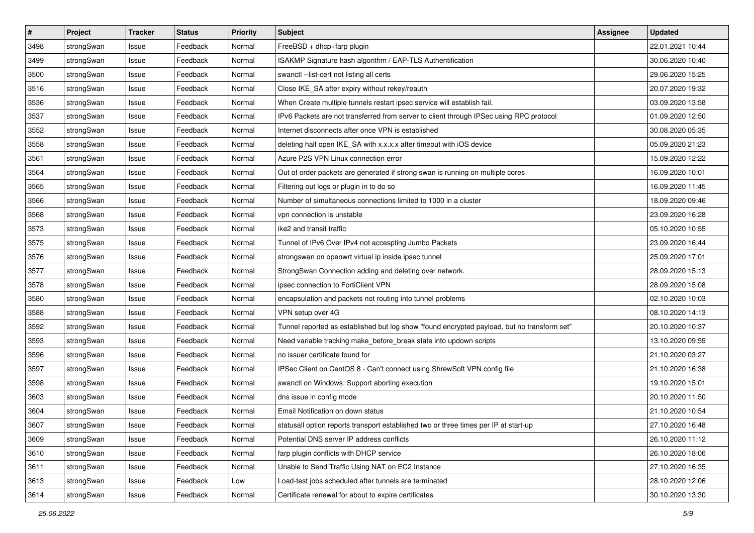| $\pmb{\#}$ | Project    | <b>Tracker</b> | <b>Status</b> | <b>Priority</b> | <b>Subject</b>                                                                              | <b>Assignee</b> | <b>Updated</b>   |
|------------|------------|----------------|---------------|-----------------|---------------------------------------------------------------------------------------------|-----------------|------------------|
| 3498       | strongSwan | Issue          | Feedback      | Normal          | FreeBSD + dhcp+farp plugin                                                                  |                 | 22.01.2021 10:44 |
| 3499       | strongSwan | Issue          | Feedback      | Normal          | ISAKMP Signature hash algorithm / EAP-TLS Authentification                                  |                 | 30.06.2020 10:40 |
| 3500       | strongSwan | Issue          | Feedback      | Normal          | swanctl --list-cert not listing all certs                                                   |                 | 29.06.2020 15:25 |
| 3516       | strongSwan | Issue          | Feedback      | Normal          | Close IKE_SA after expiry without rekey/reauth                                              |                 | 20.07.2020 19:32 |
| 3536       | strongSwan | Issue          | Feedback      | Normal          | When Create multiple tunnels restart ipsec service will establish fail.                     |                 | 03.09.2020 13:58 |
| 3537       | strongSwan | Issue          | Feedback      | Normal          | IPv6 Packets are not transferred from server to client through IPSec using RPC protocol     |                 | 01.09.2020 12:50 |
| 3552       | strongSwan | Issue          | Feedback      | Normal          | Internet disconnects after once VPN is established                                          |                 | 30.08.2020 05:35 |
| 3558       | strongSwan | Issue          | Feedback      | Normal          | deleting half open IKE_SA with x.x.x.x after timeout with iOS device                        |                 | 05.09.2020 21:23 |
| 3561       | strongSwan | Issue          | Feedback      | Normal          | Azure P2S VPN Linux connection error                                                        |                 | 15.09.2020 12:22 |
| 3564       | strongSwan | Issue          | Feedback      | Normal          | Out of order packets are generated if strong swan is running on multiple cores              |                 | 16.09.2020 10:01 |
| 3565       | strongSwan | Issue          | Feedback      | Normal          | Filtering out logs or plugin in to do so                                                    |                 | 16.09.2020 11:45 |
| 3566       | strongSwan | Issue          | Feedback      | Normal          | Number of simultaneous connections limited to 1000 in a cluster                             |                 | 18.09.2020 09:46 |
| 3568       | strongSwan | Issue          | Feedback      | Normal          | vpn connection is unstable                                                                  |                 | 23.09.2020 16:28 |
| 3573       | strongSwan | Issue          | Feedback      | Normal          | ike2 and transit traffic                                                                    |                 | 05.10.2020 10:55 |
| 3575       | strongSwan | Issue          | Feedback      | Normal          | Tunnel of IPv6 Over IPv4 not accespting Jumbo Packets                                       |                 | 23.09.2020 16:44 |
| 3576       | strongSwan | Issue          | Feedback      | Normal          | strongswan on openwrt virtual ip inside ipsec tunnel                                        |                 | 25.09.2020 17:01 |
| 3577       | strongSwan | Issue          | Feedback      | Normal          | StrongSwan Connection adding and deleting over network.                                     |                 | 28.09.2020 15:13 |
| 3578       | strongSwan | Issue          | Feedback      | Normal          | ipsec connection to FortiClient VPN                                                         |                 | 28.09.2020 15:08 |
| 3580       | strongSwan | Issue          | Feedback      | Normal          | encapsulation and packets not routing into tunnel problems                                  |                 | 02.10.2020 10:03 |
| 3588       | strongSwan | Issue          | Feedback      | Normal          | VPN setup over 4G                                                                           |                 | 08.10.2020 14:13 |
| 3592       | strongSwan | Issue          | Feedback      | Normal          | Tunnel reported as established but log show "found encrypted payload, but no transform set" |                 | 20.10.2020 10:37 |
| 3593       | strongSwan | Issue          | Feedback      | Normal          | Need variable tracking make_before_break state into updown scripts                          |                 | 13.10.2020 09:59 |
| 3596       | strongSwan | Issue          | Feedback      | Normal          | no issuer certificate found for                                                             |                 | 21.10.2020 03:27 |
| 3597       | strongSwan | Issue          | Feedback      | Normal          | IPSec Client on CentOS 8 - Can't connect using ShrewSoft VPN config file                    |                 | 21.10.2020 16:38 |
| 3598       | strongSwan | Issue          | Feedback      | Normal          | swanctl on Windows: Support aborting execution                                              |                 | 19.10.2020 15:01 |
| 3603       | strongSwan | Issue          | Feedback      | Normal          | dns issue in config mode                                                                    |                 | 20.10.2020 11:50 |
| 3604       | strongSwan | Issue          | Feedback      | Normal          | Email Notification on down status                                                           |                 | 21.10.2020 10:54 |
| 3607       | strongSwan | Issue          | Feedback      | Normal          | statusall option reports transport established two or three times per IP at start-up        |                 | 27.10.2020 16:48 |
| 3609       | strongSwan | Issue          | Feedback      | Normal          | Potential DNS server IP address conflicts                                                   |                 | 26.10.2020 11:12 |
| 3610       | strongSwan | Issue          | Feedback      | Normal          | farp plugin conflicts with DHCP service                                                     |                 | 26.10.2020 18:06 |
| 3611       | strongSwan | Issue          | Feedback      | Normal          | Unable to Send Traffic Using NAT on EC2 Instance                                            |                 | 27.10.2020 16:35 |
| 3613       | strongSwan | Issue          | Feedback      | Low             | Load-test jobs scheduled after tunnels are terminated                                       |                 | 28.10.2020 12:06 |
| 3614       | strongSwan | Issue          | Feedback      | Normal          | Certificate renewal for about to expire certificates                                        |                 | 30.10.2020 13:30 |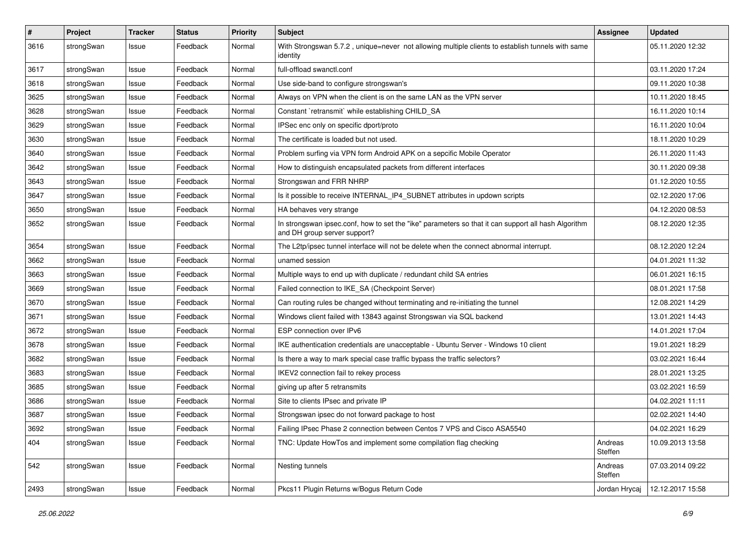| $\sharp$ | Project    | <b>Tracker</b> | <b>Status</b> | <b>Priority</b> | <b>Subject</b>                                                                                                                      | <b>Assignee</b>    | <b>Updated</b>   |
|----------|------------|----------------|---------------|-----------------|-------------------------------------------------------------------------------------------------------------------------------------|--------------------|------------------|
| 3616     | strongSwan | Issue          | Feedback      | Normal          | With Strongswan 5.7.2, unique=never not allowing multiple clients to establish tunnels with same<br>identity                        |                    | 05.11.2020 12:32 |
| 3617     | strongSwan | Issue          | Feedback      | Normal          | full-offload swanctl.conf                                                                                                           |                    | 03.11.2020 17:24 |
| 3618     | strongSwan | Issue          | Feedback      | Normal          | Use side-band to configure strongswan's                                                                                             |                    | 09.11.2020 10:38 |
| 3625     | strongSwan | Issue          | Feedback      | Normal          | Always on VPN when the client is on the same LAN as the VPN server                                                                  |                    | 10.11.2020 18:45 |
| 3628     | strongSwan | Issue          | Feedback      | Normal          | Constant `retransmit` while establishing CHILD_SA                                                                                   |                    | 16.11.2020 10:14 |
| 3629     | strongSwan | Issue          | Feedback      | Normal          | IPSec enc only on specific dport/proto                                                                                              |                    | 16.11.2020 10:04 |
| 3630     | strongSwan | Issue          | Feedback      | Normal          | The certificate is loaded but not used.                                                                                             |                    | 18.11.2020 10:29 |
| 3640     | strongSwan | Issue          | Feedback      | Normal          | Problem surfing via VPN form Android APK on a sepcific Mobile Operator                                                              |                    | 26.11.2020 11:43 |
| 3642     | strongSwan | Issue          | Feedback      | Normal          | How to distinguish encapsulated packets from different interfaces                                                                   |                    | 30.11.2020 09:38 |
| 3643     | strongSwan | Issue          | Feedback      | Normal          | Strongswan and FRR NHRP                                                                                                             |                    | 01.12.2020 10:55 |
| 3647     | strongSwan | Issue          | Feedback      | Normal          | Is it possible to receive INTERNAL_IP4_SUBNET attributes in updown scripts                                                          |                    | 02.12.2020 17:06 |
| 3650     | strongSwan | Issue          | Feedback      | Normal          | HA behaves very strange                                                                                                             |                    | 04.12.2020 08:53 |
| 3652     | strongSwan | Issue          | Feedback      | Normal          | In strongswan ipsec.conf, how to set the "ike" parameters so that it can support all hash Algorithm<br>and DH group server support? |                    | 08.12.2020 12:35 |
| 3654     | strongSwan | Issue          | Feedback      | Normal          | The L2tp/ipsec tunnel interface will not be delete when the connect abnormal interrupt.                                             |                    | 08.12.2020 12:24 |
| 3662     | strongSwan | Issue          | Feedback      | Normal          | unamed session                                                                                                                      |                    | 04.01.2021 11:32 |
| 3663     | strongSwan | Issue          | Feedback      | Normal          | Multiple ways to end up with duplicate / redundant child SA entries                                                                 |                    | 06.01.2021 16:15 |
| 3669     | strongSwan | Issue          | Feedback      | Normal          | Failed connection to IKE_SA (Checkpoint Server)                                                                                     |                    | 08.01.2021 17:58 |
| 3670     | strongSwan | Issue          | Feedback      | Normal          | Can routing rules be changed without terminating and re-initiating the tunnel                                                       |                    | 12.08.2021 14:29 |
| 3671     | strongSwan | Issue          | Feedback      | Normal          | Windows client failed with 13843 against Strongswan via SQL backend                                                                 |                    | 13.01.2021 14:43 |
| 3672     | strongSwan | Issue          | Feedback      | Normal          | ESP connection over IPv6                                                                                                            |                    | 14.01.2021 17:04 |
| 3678     | strongSwan | Issue          | Feedback      | Normal          | IKE authentication credentials are unacceptable - Ubuntu Server - Windows 10 client                                                 |                    | 19.01.2021 18:29 |
| 3682     | strongSwan | Issue          | Feedback      | Normal          | Is there a way to mark special case traffic bypass the traffic selectors?                                                           |                    | 03.02.2021 16:44 |
| 3683     | strongSwan | Issue          | Feedback      | Normal          | IKEV2 connection fail to rekey process                                                                                              |                    | 28.01.2021 13:25 |
| 3685     | strongSwan | Issue          | Feedback      | Normal          | giving up after 5 retransmits                                                                                                       |                    | 03.02.2021 16:59 |
| 3686     | strongSwan | Issue          | Feedback      | Normal          | Site to clients IPsec and private IP                                                                                                |                    | 04.02.2021 11:11 |
| 3687     | strongSwan | Issue          | Feedback      | Normal          | Strongswan ipsec do not forward package to host                                                                                     |                    | 02.02.2021 14:40 |
| 3692     | strongSwan | Issue          | Feedback      | Normal          | Failing IPsec Phase 2 connection between Centos 7 VPS and Cisco ASA5540                                                             |                    | 04.02.2021 16:29 |
| 404      | strongSwan | Issue          | Feedback      | Normal          | TNC: Update HowTos and implement some compilation flag checking                                                                     | Andreas<br>Steffen | 10.09.2013 13:58 |
| 542      | strongSwan | Issue          | Feedback      | Normal          | Nesting tunnels                                                                                                                     | Andreas<br>Steffen | 07.03.2014 09:22 |
| 2493     | strongSwan | Issue          | Feedback      | Normal          | Pkcs11 Plugin Returns w/Bogus Return Code                                                                                           | Jordan Hrycaj      | 12.12.2017 15:58 |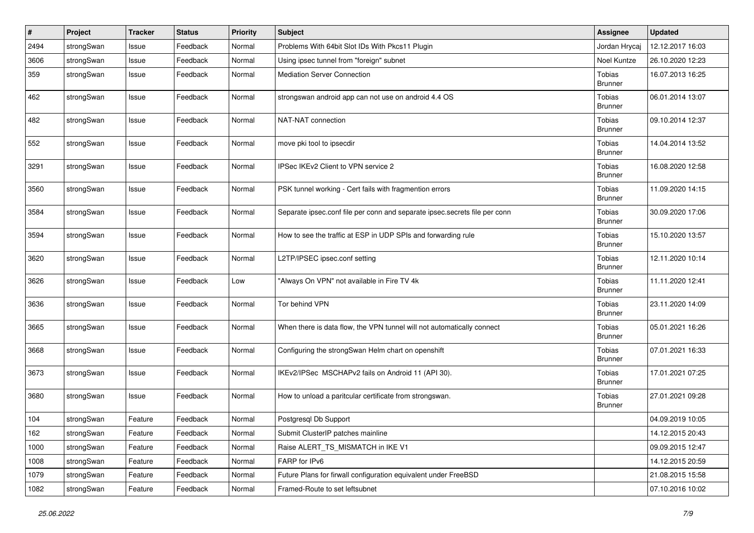| $\vert$ # | Project    | <b>Tracker</b> | <b>Status</b> | <b>Priority</b> | <b>Subject</b>                                                             | <b>Assignee</b>                 | <b>Updated</b>   |
|-----------|------------|----------------|---------------|-----------------|----------------------------------------------------------------------------|---------------------------------|------------------|
| 2494      | strongSwan | Issue          | Feedback      | Normal          | Problems With 64bit Slot IDs With Pkcs11 Plugin                            | Jordan Hrycaj                   | 12.12.2017 16:03 |
| 3606      | strongSwan | Issue          | Feedback      | Normal          | Using ipsec tunnel from "foreign" subnet                                   | Noel Kuntze                     | 26.10.2020 12:23 |
| 359       | strongSwan | Issue          | Feedback      | Normal          | <b>Mediation Server Connection</b>                                         | Tobias<br><b>Brunner</b>        | 16.07.2013 16:25 |
| 462       | strongSwan | Issue          | Feedback      | Normal          | strongswan android app can not use on android 4.4 OS                       | Tobias<br><b>Brunner</b>        | 06.01.2014 13:07 |
| 482       | strongSwan | Issue          | Feedback      | Normal          | NAT-NAT connection                                                         | Tobias<br><b>Brunner</b>        | 09.10.2014 12:37 |
| 552       | strongSwan | Issue          | Feedback      | Normal          | move pki tool to ipsecdir                                                  | <b>Tobias</b><br><b>Brunner</b> | 14.04.2014 13:52 |
| 3291      | strongSwan | Issue          | Feedback      | Normal          | IPSec IKEv2 Client to VPN service 2                                        | <b>Tobias</b><br><b>Brunner</b> | 16.08.2020 12:58 |
| 3560      | strongSwan | Issue          | Feedback      | Normal          | PSK tunnel working - Cert fails with fragmention errors                    | Tobias<br><b>Brunner</b>        | 11.09.2020 14:15 |
| 3584      | strongSwan | Issue          | Feedback      | Normal          | Separate ipsec.conf file per conn and separate ipsec.secrets file per conn | Tobias<br><b>Brunner</b>        | 30.09.2020 17:06 |
| 3594      | strongSwan | Issue          | Feedback      | Normal          | How to see the traffic at ESP in UDP SPIs and forwarding rule              | Tobias<br><b>Brunner</b>        | 15.10.2020 13:57 |
| 3620      | strongSwan | Issue          | Feedback      | Normal          | L2TP/IPSEC ipsec.conf setting                                              | Tobias<br><b>Brunner</b>        | 12.11.2020 10:14 |
| 3626      | strongSwan | Issue          | Feedback      | Low             | "Always On VPN" not available in Fire TV 4k                                | Tobias<br><b>Brunner</b>        | 11.11.2020 12:41 |
| 3636      | strongSwan | Issue          | Feedback      | Normal          | Tor behind VPN                                                             | Tobias<br><b>Brunner</b>        | 23.11.2020 14:09 |
| 3665      | strongSwan | Issue          | Feedback      | Normal          | When there is data flow, the VPN tunnel will not automatically connect     | Tobias<br><b>Brunner</b>        | 05.01.2021 16:26 |
| 3668      | strongSwan | Issue          | Feedback      | Normal          | Configuring the strongSwan Helm chart on openshift                         | Tobias<br><b>Brunner</b>        | 07.01.2021 16:33 |
| 3673      | strongSwan | Issue          | Feedback      | Normal          | IKEv2/IPSec MSCHAPv2 fails on Android 11 (API 30).                         | <b>Tobias</b><br><b>Brunner</b> | 17.01.2021 07:25 |
| 3680      | strongSwan | Issue          | Feedback      | Normal          | How to unload a paritcular certificate from strongswan.                    | Tobias<br><b>Brunner</b>        | 27.01.2021 09:28 |
| 104       | strongSwan | Feature        | Feedback      | Normal          | Postgresql Db Support                                                      |                                 | 04.09.2019 10:05 |
| 162       | strongSwan | Feature        | Feedback      | Normal          | Submit ClusterIP patches mainline                                          |                                 | 14.12.2015 20:43 |
| 1000      | strongSwan | Feature        | Feedback      | Normal          | Raise ALERT_TS_MISMATCH in IKE V1                                          |                                 | 09.09.2015 12:47 |
| 1008      | strongSwan | Feature        | Feedback      | Normal          | FARP for IPv6                                                              |                                 | 14.12.2015 20:59 |
| 1079      | strongSwan | Feature        | Feedback      | Normal          | Future Plans for firwall configuration equivalent under FreeBSD            |                                 | 21.08.2015 15:58 |
| 1082      | strongSwan | Feature        | Feedback      | Normal          | Framed-Route to set leftsubnet                                             |                                 | 07.10.2016 10:02 |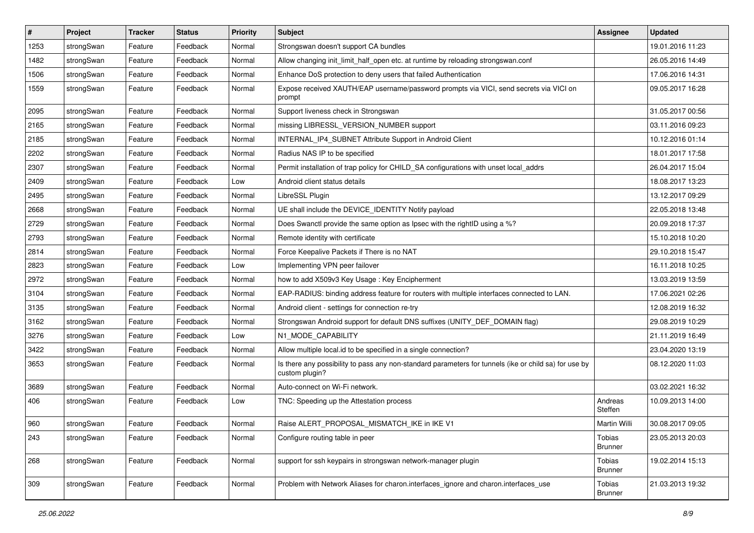| $\vert$ # | Project    | <b>Tracker</b> | <b>Status</b> | <b>Priority</b> | Subject                                                                                                                 | <b>Assignee</b>                 | <b>Updated</b>   |
|-----------|------------|----------------|---------------|-----------------|-------------------------------------------------------------------------------------------------------------------------|---------------------------------|------------------|
| 1253      | strongSwan | Feature        | Feedback      | Normal          | Strongswan doesn't support CA bundles                                                                                   |                                 | 19.01.2016 11:23 |
| 1482      | strongSwan | Feature        | Feedback      | Normal          | Allow changing init_limit_half_open etc. at runtime by reloading strongswan.conf                                        |                                 | 26.05.2016 14:49 |
| 1506      | strongSwan | Feature        | Feedback      | Normal          | Enhance DoS protection to deny users that failed Authentication                                                         |                                 | 17.06.2016 14:31 |
| 1559      | strongSwan | Feature        | Feedback      | Normal          | Expose received XAUTH/EAP username/password prompts via VICI, send secrets via VICI on<br>prompt                        |                                 | 09.05.2017 16:28 |
| 2095      | strongSwan | Feature        | Feedback      | Normal          | Support liveness check in Strongswan                                                                                    |                                 | 31.05.2017 00:56 |
| 2165      | strongSwan | Feature        | Feedback      | Normal          | missing LIBRESSL_VERSION_NUMBER support                                                                                 |                                 | 03.11.2016 09:23 |
| 2185      | strongSwan | Feature        | Feedback      | Normal          | INTERNAL_IP4_SUBNET Attribute Support in Android Client                                                                 |                                 | 10.12.2016 01:14 |
| 2202      | strongSwan | Feature        | Feedback      | Normal          | Radius NAS IP to be specified                                                                                           |                                 | 18.01.2017 17:58 |
| 2307      | strongSwan | Feature        | Feedback      | Normal          | Permit installation of trap policy for CHILD_SA configurations with unset local_addrs                                   |                                 | 26.04.2017 15:04 |
| 2409      | strongSwan | Feature        | Feedback      | Low             | Android client status details                                                                                           |                                 | 18.08.2017 13:23 |
| 2495      | strongSwan | Feature        | Feedback      | Normal          | LibreSSL Plugin                                                                                                         |                                 | 13.12.2017 09:29 |
| 2668      | strongSwan | Feature        | Feedback      | Normal          | UE shall include the DEVICE_IDENTITY Notify payload                                                                     |                                 | 22.05.2018 13:48 |
| 2729      | strongSwan | Feature        | Feedback      | Normal          | Does Swanctl provide the same option as Ipsec with the rightID using a %?                                               |                                 | 20.09.2018 17:37 |
| 2793      | strongSwan | Feature        | Feedback      | Normal          | Remote identity with certificate                                                                                        |                                 | 15.10.2018 10:20 |
| 2814      | strongSwan | Feature        | Feedback      | Normal          | Force Keepalive Packets if There is no NAT                                                                              |                                 | 29.10.2018 15:47 |
| 2823      | strongSwan | Feature        | Feedback      | Low             | Implementing VPN peer failover                                                                                          |                                 | 16.11.2018 10:25 |
| 2972      | strongSwan | Feature        | Feedback      | Normal          | how to add X509v3 Key Usage: Key Encipherment                                                                           |                                 | 13.03.2019 13:59 |
| 3104      | strongSwan | Feature        | Feedback      | Normal          | EAP-RADIUS: binding address feature for routers with multiple interfaces connected to LAN.                              |                                 | 17.06.2021 02:26 |
| 3135      | strongSwan | Feature        | Feedback      | Normal          | Android client - settings for connection re-try                                                                         |                                 | 12.08.2019 16:32 |
| 3162      | strongSwan | Feature        | Feedback      | Normal          | Strongswan Android support for default DNS suffixes (UNITY_DEF_DOMAIN flag)                                             |                                 | 29.08.2019 10:29 |
| 3276      | strongSwan | Feature        | Feedback      | Low             | N1_MODE_CAPABILITY                                                                                                      |                                 | 21.11.2019 16:49 |
| 3422      | strongSwan | Feature        | Feedback      | Normal          | Allow multiple local.id to be specified in a single connection?                                                         |                                 | 23.04.2020 13:19 |
| 3653      | strongSwan | Feature        | Feedback      | Normal          | Is there any possibility to pass any non-standard parameters for tunnels (ike or child sa) for use by<br>custom plugin? |                                 | 08.12.2020 11:03 |
| 3689      | strongSwan | Feature        | Feedback      | Normal          | Auto-connect on Wi-Fi network.                                                                                          |                                 | 03.02.2021 16:32 |
| 406       | strongSwan | Feature        | Feedback      | Low             | TNC: Speeding up the Attestation process                                                                                | Andreas<br>Steffen              | 10.09.2013 14:00 |
| 960       | strongSwan | Feature        | Feedback      | Normal          | Raise ALERT_PROPOSAL_MISMATCH_IKE in IKE V1                                                                             | Martin Willi                    | 30.08.2017 09:05 |
| 243       | strongSwan | Feature        | Feedback      | Normal          | Configure routing table in peer                                                                                         | Tobias<br><b>Brunner</b>        | 23.05.2013 20:03 |
| 268       | strongSwan | Feature        | Feedback      | Normal          | support for ssh keypairs in strongswan network-manager plugin                                                           | Tobias<br><b>Brunner</b>        | 19.02.2014 15:13 |
| 309       | strongSwan | Feature        | Feedback      | Normal          | Problem with Network Aliases for charon.interfaces_ignore and charon.interfaces_use                                     | <b>Tobias</b><br><b>Brunner</b> | 21.03.2013 19:32 |